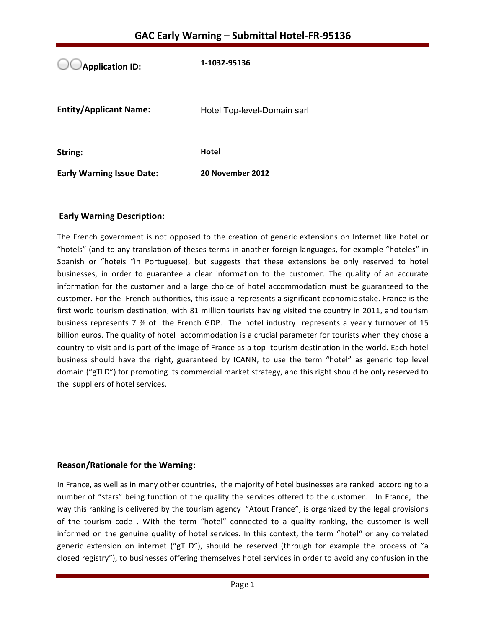**Application ID:** 1-1032-95136 **Entity/Applicant Name:** Hotel Top-level-Domain sarl **String: Hotel Early Warning Issue Date:** 20 November 2012

## **Early Warning Description:**

The French government is not opposed to the creation of generic extensions on Internet like hotel or "hotels" (and to any translation of theses terms in another foreign languages, for example "hoteles" in Spanish or "hoteis "in Portuguese), but suggests that these extensions be only reserved to hotel businesses, in order to guarantee a clear information to the customer. The quality of an accurate information for the customer and a large choice of hotel accommodation must be guaranteed to the customer. For the French authorities, this issue a represents a significant economic stake. France is the first world tourism destination, with 81 million tourists having visited the country in 2011, and tourism business represents 7 % of the French GDP. The hotel industry represents a yearly turnover of 15 billion euros. The quality of hotel accommodation is a crucial parameter for tourists when they chose a country to visit and is part of the image of France as a top tourism destination in the world. Each hotel business should have the right, guaranteed by ICANN, to use the term "hotel" as generic top level domain ("gTLD") for promoting its commercial market strategy, and this right should be only reserved to the suppliers of hotel services.

## **Reason/Rationale for the Warning:**

In France, as well as in many other countries, the majority of hotel businesses are ranked according to a number of "stars" being function of the quality the services offered to the customer. In France, the way this ranking is delivered by the tourism agency "Atout France", is organized by the legal provisions of the tourism code. With the term "hotel" connected to a quality ranking, the customer is well informed on the genuine quality of hotel services. In this context, the term "hotel" or any correlated generic extension on internet ("gTLD"), should be reserved (through for example the process of "a closed registry"), to businesses offering themselves hotel services in order to avoid any confusion in the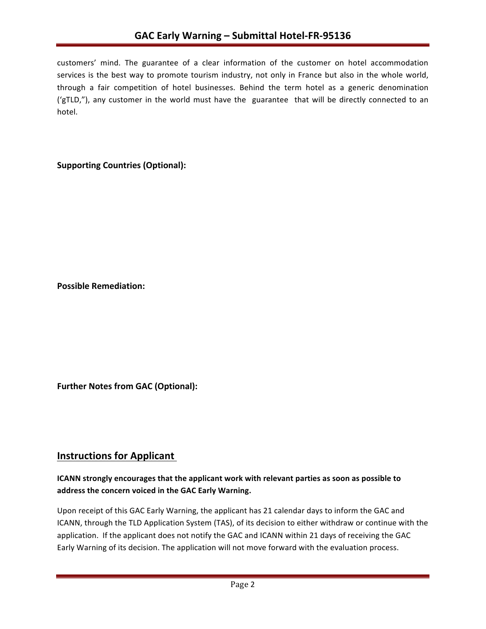customers' mind. The guarantee of a clear information of the customer on hotel accommodation services is the best way to promote tourism industry, not only in France but also in the whole world, through a fair competition of hotel businesses. Behind the term hotel as a generic denomination ('gTLD,"), any customer in the world must have the guarantee that will be directly connected to an hotel. 

# **Supporting Countries (Optional):**

**Possible Remediation:**

**Further Notes from GAC (Optional):** 

# **Instructions for Applicant**

# **ICANN** strongly encourages that the applicant work with relevant parties as soon as possible to address the concern voiced in the GAC Early Warning.

Upon receipt of this GAC Early Warning, the applicant has 21 calendar days to inform the GAC and ICANN, through the TLD Application System (TAS), of its decision to either withdraw or continue with the application. If the applicant does not notify the GAC and ICANN within 21 days of receiving the GAC Early Warning of its decision. The application will not move forward with the evaluation process.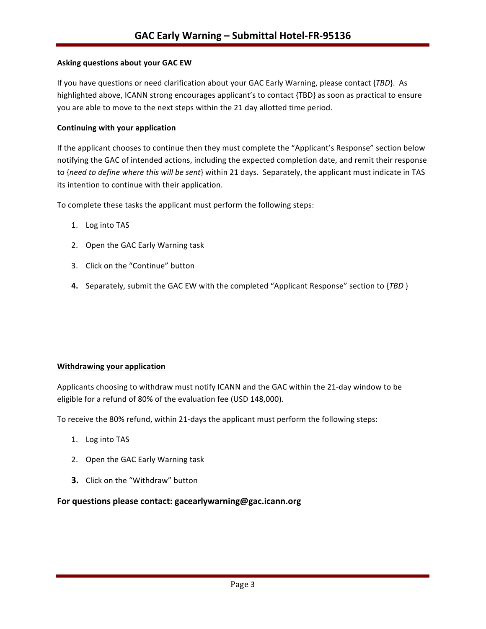#### **Asking questions about your GAC EW**

If you have questions or need clarification about your GAC Early Warning, please contact {*TBD*}. As highlighted above, ICANN strong encourages applicant's to contact {TBD} as soon as practical to ensure you are able to move to the next steps within the 21 day allotted time period.

#### **Continuing with your application**

If the applicant chooses to continue then they must complete the "Applicant's Response" section below notifying the GAC of intended actions, including the expected completion date, and remit their response to {need to define where this will be sent} within 21 days. Separately, the applicant must indicate in TAS its intention to continue with their application.

To complete these tasks the applicant must perform the following steps:

- 1. Log into TAS
- 2. Open the GAC Early Warning task
- 3. Click on the "Continue" button
- **4.** Separately, submit the GAC EW with the completed "Applicant Response" section to {*TBD* }

#### **Withdrawing your application**

Applicants choosing to withdraw must notify ICANN and the GAC within the 21-day window to be eligible for a refund of 80% of the evaluation fee (USD 148,000).

To receive the 80% refund, within 21-days the applicant must perform the following steps:

- 1. Log into TAS
- 2. Open the GAC Early Warning task
- **3.** Click on the "Withdraw" button

#### For questions please contact: gacearlywarning@gac.icann.org